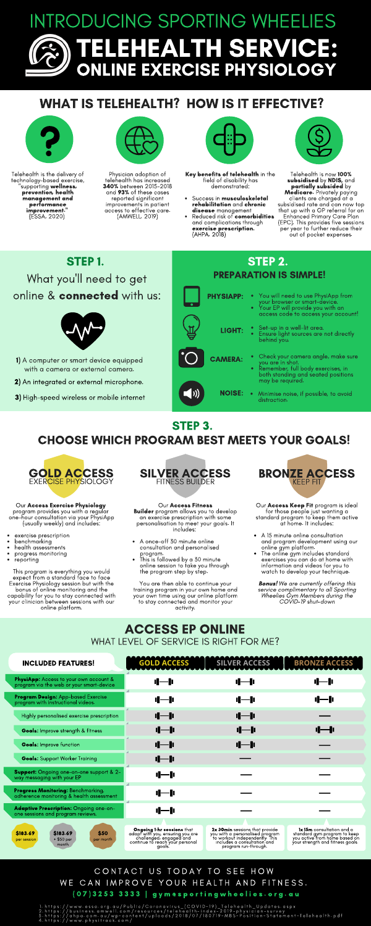# INTRODUCING SPORTING WHEELIES TELEHEALTH SERVICE: ONLINE EXERCISE PHYSIOLOGY

#### CONTACT US TODAY TO SEE HOW WE CAN IMPROVE YOUR HEALTH AND FITNESS. ( 0 7 ) 3 2 5 3 3 3 3 3 | g y m @ s p o r t i n g w h e e l i e s . o r g . a u

https://www.essa.org.au/Public/Coronavirus\_(COVID-19)\_Telehealth\_Updates.aspx<br>https://business.amwell.com/resources/telehealth-index-2019-physician-survey<br>https://ahpa.com.au/wp-content/uploads/2018/07/180719-MBS-Position-1 .  $\overline{2}$ .  $\overline{5}$  .  $\overline{4}$  .

## WHAT IS TELEHEALTH? HOW IS IT EFFECTIVE?



STEP 1. What you'll need to get online & connected with us:



Telehealth is the delivery of technology-based exercise, 'supporting wellness, prevention, health management and magement of improvement." (ESSA, 2020)



## STEP 3. CHOOSE WHICH PROGRAM BEST MEETS YOUR GOALS!

Key benefits of telehealth in the field of disability has demonstrated:

- Success in **musculoskeletal** rehabilitation and chronic disease management
- Reduced risk of comorbidities and complications through exercise prescription. (AHPA, 2018)



Physician adoption of telehealth has increased 340% between 2015-2018 and 93% of these cases reported significant improvements in patient access to effective care. (AMWELL, 2019)



- 1) A computer or smart device equipped with a camera or external camera.
- 2) An integrated or external microphone.
- 3) High-speed wireless or mobile internet

#### ACCESS EP ONLINE WHAT LEVEL OF SERVICE IS RIGHT FOR ME?

Telehealth is now 100% subsidised by NDIS, and partially subsided by Medicare. Privately paying clients are charged at a subsidised rate and can now top that up with a GP referral for an Enhanced Primary Care Plan (EPC). This provides five sessions per year to further reduce their out of pocket expenses.

Our **Access Keep Fit** program is ideal for those people just wanting a standard program to keep them active at home. It includes:

**Bonus!** We are currently offering this service complimentary to all Sporting Wheelies Gym Members during the COVID-19 shut-down

| <b>INCLUDED FEATURES!</b>                                                                     | <b>GOLD ACCESS</b>                                                                                                                     | <b>SILVER ACCESS</b>                                                                                                                                       | <b>BRONZE ACCESS</b>                                                                                                                  |
|-----------------------------------------------------------------------------------------------|----------------------------------------------------------------------------------------------------------------------------------------|------------------------------------------------------------------------------------------------------------------------------------------------------------|---------------------------------------------------------------------------------------------------------------------------------------|
| <b>PhysiApp:</b> Access to your own account &<br>program via the web or your smart-device     | 11-11                                                                                                                                  | <u>d—lı</u>                                                                                                                                                | 11-l                                                                                                                                  |
| <b>Program Design:</b> App-based Exercise<br>program with instructional videos.               | <u> 11 - 11 </u>                                                                                                                       | <u>il—li</u>                                                                                                                                               | 11 — 11                                                                                                                               |
| Highly personalised exercise prescription                                                     | <u> 11 — 11</u>                                                                                                                        | $I = I$                                                                                                                                                    |                                                                                                                                       |
| <b>Goals:</b> Improve strength & fitness                                                      | <u> 11 — 11</u>                                                                                                                        | 11-ll                                                                                                                                                      | 11---- 11                                                                                                                             |
| <b>Goals:</b> Improve function                                                                | $-I$                                                                                                                                   | 11-lı                                                                                                                                                      |                                                                                                                                       |
| <b>Goals:</b> Support Worker Training                                                         | $-I$                                                                                                                                   |                                                                                                                                                            |                                                                                                                                       |
| <b>Support:</b> Ongoing one-on-one support & 2-<br>way messaging with your EP                 | 4—1                                                                                                                                    |                                                                                                                                                            |                                                                                                                                       |
| <b>Progress Monitoring:</b> Benchmarking,<br>adherence monitoring & health assessment         | 11-lı                                                                                                                                  |                                                                                                                                                            |                                                                                                                                       |
| Adaptive Prescription: Ongoing one-on-<br>one sessions and program reviews.                   | 11—11                                                                                                                                  |                                                                                                                                                            |                                                                                                                                       |
|                                                                                               |                                                                                                                                        |                                                                                                                                                            |                                                                                                                                       |
| <b>\$183.69</b><br><b>\$50</b><br>\$183.69<br>+ \$50 per<br>per month<br>per session<br>month | Ongoing 1-hr sessions that<br>adapt with you, ensuring you are<br>challenged, engaged and<br>continue to reach your personal<br>goals. | 2x 30min sessions that provide<br>you with a personalised program<br>to workout independently. This<br>includes a consultation and<br>program run-through. | <b>1x 15m</b> consultation and a<br>standard gym program to keep<br>you active from home based on<br>your strength and fitness goals. |

exercise prescription

- benchmarking
- 
- health assessments progress monitoring

Our Access Exercise Physiology program provides you with a regular one-hour consultation via your PhysiApp (usually weekly) and includes:

This program is everything you would expect from a standard face to face Exercise Physiology session but with the bonus of online monitoring and the capability for you to stay connected with your clinician between sessions with our online platform.



| STEP 2.<br><b>PREPARATION IS SIMPLE!</b> |                                                                                                                                                     |  |  |
|------------------------------------------|-----------------------------------------------------------------------------------------------------------------------------------------------------|--|--|
| <b>PHYSIAPP:</b>                         | • You will need to use PhysiApp from<br>your browser or smart-device.<br>• Your EP will provide you with an                                         |  |  |
| LIGHT:                                   | access code to access your account!<br>• Set-up in a well-lit area.<br>• Ensure light sources are not directly<br>behind you.                       |  |  |
| <b>CAMERA:</b>                           | Check your camera angle, make sure<br>۰<br>you are in shot.<br>Remember, full body exercises, in<br>$\bullet$<br>both standing and seated positions |  |  |
| <b>NOISE:</b>                            | may be required.<br>• Minimise noise, if possible, to avoid<br>distraction.                                                                         |  |  |



A once-off 30 minute online consultation and personalised program.

This is followed by a 30 minute online session to take you through the program step by step.

Our Access Fitness **Builder** program allows you to develop an exercise prescription with some personalisation to meet your goals. It includes:

You are then able to continue your training program in your own home and your own time using our online platform to stay connected and monitor your activity.



- A 15 minute online consultation and program development using our online gym platform.
- The online gym includes standard

• reporting

exercises you can do at home with information and videos for you to watch to develop your technique.